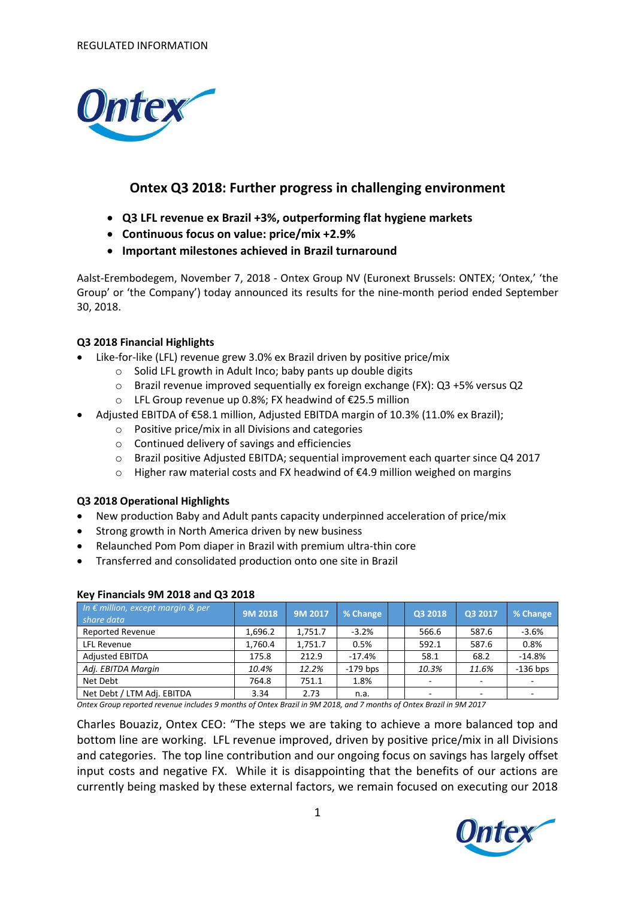

# **Ontex Q3 2018: Further progress in challenging environment**

- **Q3 LFL revenue ex Brazil +3%, outperforming flat hygiene markets**
- **Continuous focus on value: price/mix +2.9%**
- **Important milestones achieved in Brazil turnaround**

Aalst-Erembodegem, November 7, 2018 - Ontex Group NV (Euronext Brussels: ONTEX; 'Ontex,' 'the Group' or 'the Company') today announced its results for the nine-month period ended September 30, 2018.

## **Q3 2018 Financial Highlights**

- Like-for-like (LFL) revenue grew 3.0% ex Brazil driven by positive price/mix
	- o Solid LFL growth in Adult Inco; baby pants up double digits
	- o Brazil revenue improved sequentially ex foreign exchange (FX): Q3 +5% versus Q2
	- o LFL Group revenue up 0.8%; FX headwind of €25.5 million
- Adjusted EBITDA of €58.1 million, Adjusted EBITDA margin of 10.3% (11.0% ex Brazil);
	- o Positive price/mix in all Divisions and categories
	- o Continued delivery of savings and efficiencies
	- o Brazil positive Adjusted EBITDA; sequential improvement each quarter since Q4 2017
	- o Higher raw material costs and FX headwind of €4.9 million weighed on margins

## **Q3 2018 Operational Highlights**

- New production Baby and Adult pants capacity underpinned acceleration of price/mix
- Strong growth in North America driven by new business
- Relaunched Pom Pom diaper in Brazil with premium ultra-thin core
- Transferred and consolidated production onto one site in Brazil

| In € million, except margin & per<br>share data | <b>9M 2018</b> | 9M 2017 | % Change   | Q3 2018                  | Q3 2017                  | % Change   |
|-------------------------------------------------|----------------|---------|------------|--------------------------|--------------------------|------------|
| <b>Reported Revenue</b>                         | 1,696.2        | 1,751.7 | $-3.2%$    | 566.6                    | 587.6                    | $-3.6%$    |
| LFL Revenue                                     | 1,760.4        | 1,751.7 | 0.5%       | 592.1                    | 587.6                    | 0.8%       |
| <b>Adjusted EBITDA</b>                          | 175.8          | 212.9   | $-17.4%$   | 58.1                     | 68.2                     | $-14.8%$   |
| Adj. EBITDA Margin                              | 10.4%          | 12.2%   | $-179$ bps | 10.3%                    | 11.6%                    | $-136$ bps |
| Net Debt                                        | 764.8          | 751.1   | 1.8%       | $\overline{\phantom{a}}$ | ٠                        | ۰          |
| Net Debt / LTM Adj. EBITDA                      | 3.34           | 2.73    | n.a.       |                          | $\overline{\phantom{a}}$ |            |

## **Key Financials 9M 2018 and Q3 2018**

*Ontex Group reported revenue includes 9 months of Ontex Brazil in 9M 2018, and 7 months of Ontex Brazil in 9M 2017*

Charles Bouaziz, Ontex CEO: "The steps we are taking to achieve a more balanced top and bottom line are working. LFL revenue improved, driven by positive price/mix in all Divisions and categories. The top line contribution and our ongoing focus on savings has largely offset input costs and negative FX. While it is disappointing that the benefits of our actions are currently being masked by these external factors, we remain focused on executing our 2018

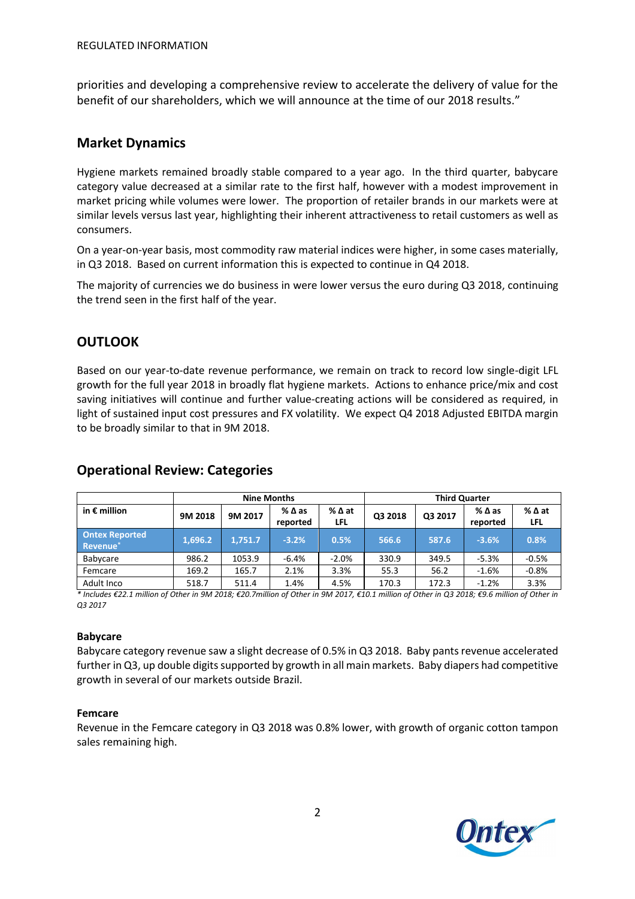priorities and developing a comprehensive review to accelerate the delivery of value for the benefit of our shareholders, which we will announce at the time of our 2018 results."

# **Market Dynamics**

Hygiene markets remained broadly stable compared to a year ago. In the third quarter, babycare category value decreased at a similar rate to the first half, however with a modest improvement in market pricing while volumes were lower. The proportion of retailer brands in our markets were at similar levels versus last year, highlighting their inherent attractiveness to retail customers as well as consumers.

On a year-on-year basis, most commodity raw material indices were higher, in some cases materially, in Q3 2018. Based on current information this is expected to continue in Q4 2018.

The majority of currencies we do business in were lower versus the euro during Q3 2018, continuing the trend seen in the first half of the year.

# **OUTLOOK**

Based on our year-to-date revenue performance, we remain on track to record low single-digit LFL growth for the full year 2018 in broadly flat hygiene markets. Actions to enhance price/mix and cost saving initiatives will continue and further value-creating actions will be considered as required, in light of sustained input cost pressures and FX volatility. We expect Q4 2018 Adjusted EBITDA margin to be broadly similar to that in 9M 2018.

|                                               | <b>Nine Months</b> |         |                                |                        | <b>Third Quarter</b> |         |                                |                    |
|-----------------------------------------------|--------------------|---------|--------------------------------|------------------------|----------------------|---------|--------------------------------|--------------------|
| in $\epsilon$ million                         | 9M 2018            | 9M 2017 | $%$ $\triangle$ as<br>reported | $%$ $\Delta$ at<br>LFL | Q3 2018              | Q3 2017 | $%$ $\triangle$ as<br>reported | %∆at<br><b>LFL</b> |
| <b>Ontex Reported</b><br>Revenue <sup>*</sup> | 1,696.2            | 1,751.7 | $-3.2%$                        | 0.5%                   | 566.6                | 587.6   | $-3.6%$                        | 0.8%               |
| Babycare                                      | 986.2              | 1053.9  | $-6.4%$                        | $-2.0%$                | 330.9                | 349.5   | $-5.3%$                        | $-0.5%$            |
| Femcare                                       | 169.2              | 165.7   | 2.1%                           | 3.3%                   | 55.3                 | 56.2    | $-1.6%$                        | $-0.8%$            |
| Adult Inco                                    | 518.7              | 511.4   | 1.4%                           | 4.5%                   | 170.3                | 172.3   | $-1.2%$                        | 3.3%               |

# **Operational Review: Categories**

\* Includes €22.1 million of Other in 9M 2018; €20.7million of Other in 9M 2017, €10.1 million of Other in Q3 2018; €9.6 million of Other in *Q3 2017*

## **Babycare**

Babycare category revenue saw a slight decrease of 0.5% in Q3 2018. Baby pants revenue accelerated further in Q3, up double digits supported by growth in all main markets. Baby diapers had competitive growth in several of our markets outside Brazil.

## **Femcare**

Revenue in the Femcare category in Q3 2018 was 0.8% lower, with growth of organic cotton tampon sales remaining high.

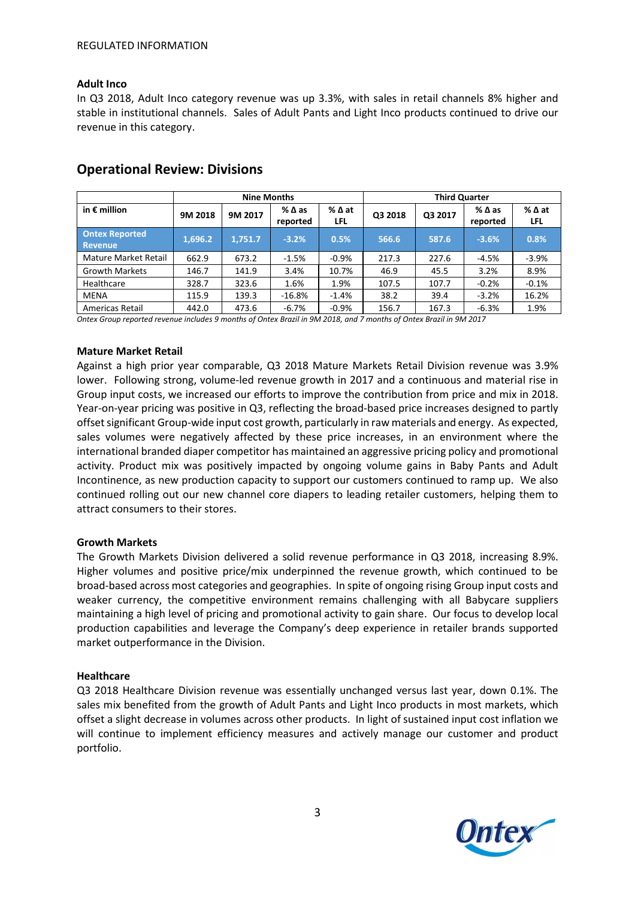#### **Adult Inco**

In Q3 2018, Adult Inco category revenue was up 3.3%, with sales in retail channels 8% higher and stable in institutional channels. Sales of Adult Pants and Light Inco products continued to drive our revenue in this category.

|                                         | <b>Nine Months</b> |         |                                |                               | <b>Third Quarter</b> |         |                             |                               |
|-----------------------------------------|--------------------|---------|--------------------------------|-------------------------------|----------------------|---------|-----------------------------|-------------------------------|
| in $\epsilon$ million                   | 9M 2018            | 9M 2017 | $%$ $\triangle$ as<br>reported | $%$ $\Delta$ at<br><b>LFL</b> | Q3 2018              | Q3 2017 | $%$ $\Delta$ as<br>reported | $%$ $\Delta$ at<br><b>LFL</b> |
| <b>Ontex Reported</b><br><b>Revenue</b> | 1,696.2            | 1,751.7 | $-3.2%$                        | 0.5%                          | 566.6                | 587.6   | $-3.6%$                     | 0.8%                          |
| Mature Market Retail                    | 662.9              | 673.2   | $-1.5%$                        | $-0.9%$                       | 217.3                | 227.6   | $-4.5%$                     | $-3.9%$                       |
| <b>Growth Markets</b>                   | 146.7              | 141.9   | 3.4%                           | 10.7%                         | 46.9                 | 45.5    | 3.2%                        | 8.9%                          |
| Healthcare                              | 328.7              | 323.6   | 1.6%                           | 1.9%                          | 107.5                | 107.7   | $-0.2%$                     | $-0.1%$                       |
| MENA                                    | 115.9              | 139.3   | $-16.8%$                       | $-1.4%$                       | 38.2                 | 39.4    | $-3.2%$                     | 16.2%                         |
| Americas Retail                         | 442.0              | 473.6   | $-6.7%$                        | $-0.9%$                       | 156.7                | 167.3   | $-6.3%$                     | 1.9%                          |

## **Operational Review: Divisions**

*Ontex Group reported revenue includes 9 months of Ontex Brazil in 9M 2018, and 7 months of Ontex Brazil in 9M 2017*

#### **Mature Market Retail**

Against a high prior year comparable, Q3 2018 Mature Markets Retail Division revenue was 3.9% lower. Following strong, volume-led revenue growth in 2017 and a continuous and material rise in Group input costs, we increased our efforts to improve the contribution from price and mix in 2018. Year-on-year pricing was positive in Q3, reflecting the broad-based price increases designed to partly offset significant Group-wide input cost growth, particularly in raw materials and energy. As expected, sales volumes were negatively affected by these price increases, in an environment where the international branded diaper competitor has maintained an aggressive pricing policy and promotional activity. Product mix was positively impacted by ongoing volume gains in Baby Pants and Adult Incontinence, as new production capacity to support our customers continued to ramp up. We also continued rolling out our new channel core diapers to leading retailer customers, helping them to attract consumers to their stores.

## **Growth Markets**

The Growth Markets Division delivered a solid revenue performance in Q3 2018, increasing 8.9%. Higher volumes and positive price/mix underpinned the revenue growth, which continued to be broad-based across most categories and geographies. In spite of ongoing rising Group input costs and weaker currency, the competitive environment remains challenging with all Babycare suppliers maintaining a high level of pricing and promotional activity to gain share. Our focus to develop local production capabilities and leverage the Company's deep experience in retailer brands supported market outperformance in the Division.

#### **Healthcare**

Q3 2018 Healthcare Division revenue was essentially unchanged versus last year, down 0.1%. The sales mix benefited from the growth of Adult Pants and Light Inco products in most markets, which offset a slight decrease in volumes across other products. In light of sustained input cost inflation we will continue to implement efficiency measures and actively manage our customer and product portfolio.

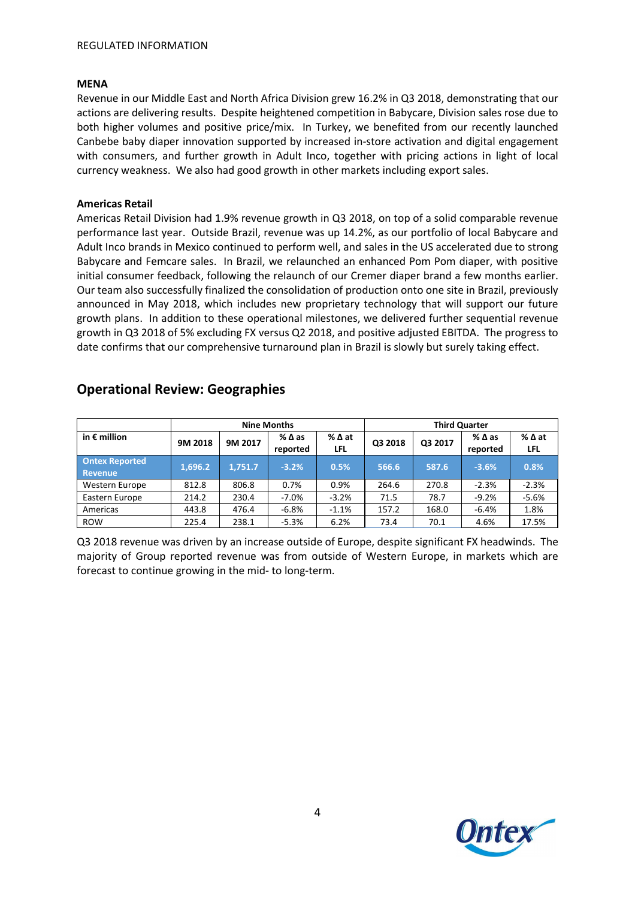#### **MENA**

Revenue in our Middle East and North Africa Division grew 16.2% in Q3 2018, demonstrating that our actions are delivering results. Despite heightened competition in Babycare, Division sales rose due to both higher volumes and positive price/mix. In Turkey, we benefited from our recently launched Canbebe baby diaper innovation supported by increased in-store activation and digital engagement with consumers, and further growth in Adult Inco, together with pricing actions in light of local currency weakness. We also had good growth in other markets including export sales.

### **Americas Retail**

Americas Retail Division had 1.9% revenue growth in Q3 2018, on top of a solid comparable revenue performance last year. Outside Brazil, revenue was up 14.2%, as our portfolio of local Babycare and Adult Inco brands in Mexico continued to perform well, and sales in the US accelerated due to strong Babycare and Femcare sales. In Brazil, we relaunched an enhanced Pom Pom diaper, with positive initial consumer feedback, following the relaunch of our Cremer diaper brand a few months earlier. Our team also successfully finalized the consolidation of production onto one site in Brazil, previously announced in May 2018, which includes new proprietary technology that will support our future growth plans. In addition to these operational milestones, we delivered further sequential revenue growth in Q3 2018 of 5% excluding FX versus Q2 2018, and positive adjusted EBITDA. The progress to date confirms that our comprehensive turnaround plan in Brazil is slowly but surely taking effect.

|                                  | <b>Nine Months</b> |         |                             | <b>Third Quarter</b> |         |         |                  |                        |
|----------------------------------|--------------------|---------|-----------------------------|----------------------|---------|---------|------------------|------------------------|
| in $\epsilon$ million            | 9M 2018            | 9M 2017 | $%$ $\Delta$ as<br>reported | % ∆ at<br>LFL        | Q3 2018 | Q3 2017 | %∆as<br>reported | $%$ $\Delta$ at<br>LFL |
| <b>Ontex Reported</b><br>Revenue | 1,696.2            | 1,751.7 | $-3.2%$                     | 0.5%                 | 566.6   | 587.6   | $-3.6%$          | 0.8%                   |
| Western Europe                   | 812.8              | 806.8   | 0.7%                        | 0.9%                 | 264.6   | 270.8   | $-2.3%$          | $-2.3%$                |
| Eastern Europe                   | 214.2              | 230.4   | $-7.0%$                     | $-3.2%$              | 71.5    | 78.7    | $-9.2%$          | $-5.6%$                |
| Americas                         | 443.8              | 476.4   | $-6.8%$                     | $-1.1%$              | 157.2   | 168.0   | $-6.4%$          | 1.8%                   |
| <b>ROW</b>                       | 225.4              | 238.1   | $-5.3%$                     | 6.2%                 | 73.4    | 70.1    | 4.6%             | 17.5%                  |

## **Operational Review: Geographies**

Q3 2018 revenue was driven by an increase outside of Europe, despite significant FX headwinds. The majority of Group reported revenue was from outside of Western Europe, in markets which are forecast to continue growing in the mid- to long-term.

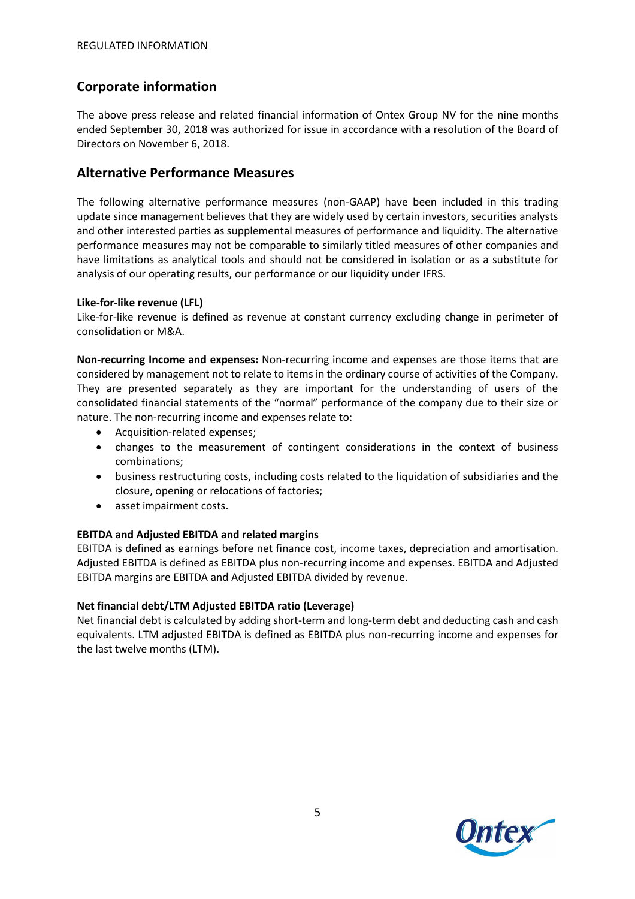# **Corporate information**

The above press release and related financial information of Ontex Group NV for the nine months ended September 30, 2018 was authorized for issue in accordance with a resolution of the Board of Directors on November 6, 2018.

# **Alternative Performance Measures**

The following alternative performance measures (non-GAAP) have been included in this trading update since management believes that they are widely used by certain investors, securities analysts and other interested parties as supplemental measures of performance and liquidity. The alternative performance measures may not be comparable to similarly titled measures of other companies and have limitations as analytical tools and should not be considered in isolation or as a substitute for analysis of our operating results, our performance or our liquidity under IFRS.

#### **Like-for-like revenue (LFL)**

Like-for-like revenue is defined as revenue at constant currency excluding change in perimeter of consolidation or M&A.

**Non-recurring Income and expenses:** Non-recurring income and expenses are those items that are considered by management not to relate to items in the ordinary course of activities of the Company. They are presented separately as they are important for the understanding of users of the consolidated financial statements of the "normal" performance of the company due to their size or nature. The non-recurring income and expenses relate to:

- Acquisition-related expenses;
- changes to the measurement of contingent considerations in the context of business combinations;
- business restructuring costs, including costs related to the liquidation of subsidiaries and the closure, opening or relocations of factories;
- asset impairment costs.

## **EBITDA and Adjusted EBITDA and related margins**

EBITDA is defined as earnings before net finance cost, income taxes, depreciation and amortisation. Adjusted EBITDA is defined as EBITDA plus non-recurring income and expenses. EBITDA and Adjusted EBITDA margins are EBITDA and Adjusted EBITDA divided by revenue.

## **Net financial debt/LTM Adjusted EBITDA ratio (Leverage)**

Net financial debt is calculated by adding short-term and long-term debt and deducting cash and cash equivalents. LTM adjusted EBITDA is defined as EBITDA plus non-recurring income and expenses for the last twelve months (LTM).

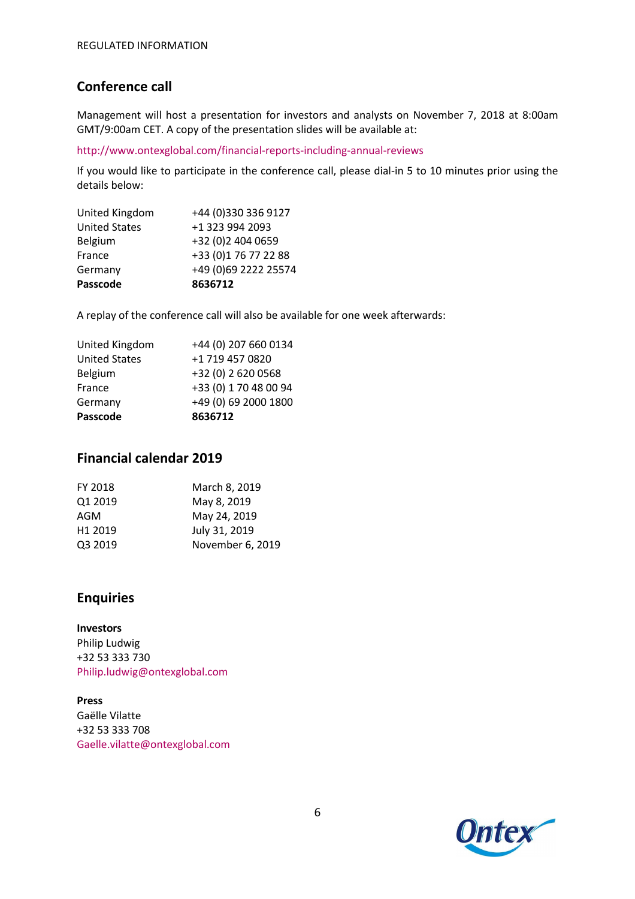# **Conference call**

Management will host a presentation for investors and analysts on November 7, 2018 at 8:00am GMT/9:00am CET. A copy of the presentation slides will be available at:

http://www.ontexglobal.com/financial-reports-including-annual-reviews

If you would like to participate in the conference call, please dial-in 5 to 10 minutes prior using the details below:

| Passcode             | 8636712              |
|----------------------|----------------------|
| Germany              | +49 (0)69 2222 25574 |
| France               | +33 (0)1 76 77 22 88 |
| Belgium              | +32 (0)2 404 0659    |
| <b>United States</b> | +1 323 994 2093      |
| United Kingdom       | +44 (0)330 336 9127  |

A replay of the conference call will also be available for one week afterwards:

| Passcode             | 8636712               |
|----------------------|-----------------------|
| Germany              | +49 (0) 69 2000 1800  |
| France               | +33 (0) 1 70 48 00 94 |
| Belgium              | +32 (0) 2 620 0568    |
| <b>United States</b> | +1 719 457 0820       |
| United Kingdom       | +44 (0) 207 660 0134  |

## **Financial calendar 2019**

| FY 2018             | March 8, 2019    |
|---------------------|------------------|
| Q1 2019             | May 8, 2019      |
| AGM                 | May 24, 2019     |
| H <sub>1</sub> 2019 | July 31, 2019    |
| Q3 2019             | November 6, 2019 |
|                     |                  |

# **Enquiries**

**Investors** Philip Ludwig +32 53 333 730 Philip.ludwig@ontexglobal.com

**Press** Gaëlle Vilatte +32 53 333 708 Gaelle.vilatte@ontexglobal.com